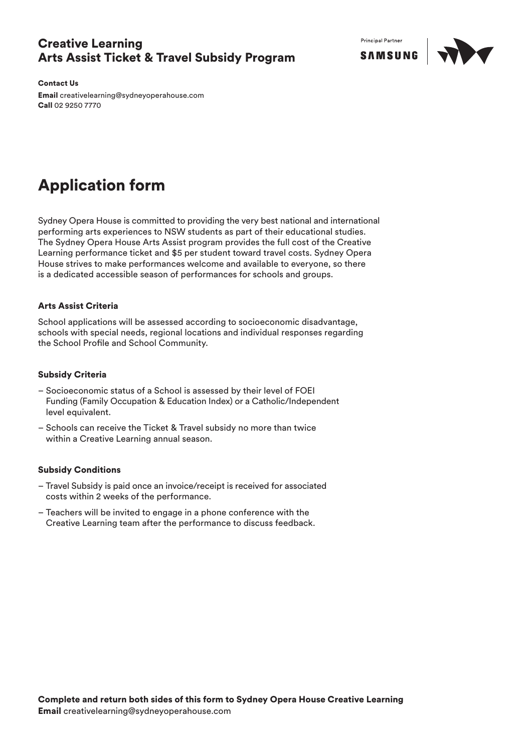### Creative Learning Arts Assist Ticket & Travel Subsidy Program

**Principal Partner** 



Contact Us

Email creativelearning@sydneyoperahouse.com Call 02 9250 7770

# Application form

Sydney Opera House is committed to providing the very best national and international performing arts experiences to NSW students as part of their educational studies. The Sydney Opera House Arts Assist program provides the full cost of the Creative Learning performance ticket and \$5 per student toward travel costs. Sydney Opera House strives to make performances welcome and available to everyone, so there is a dedicated accessible season of performances for schools and groups.

### Arts Assist Criteria

School applications will be assessed according to socioeconomic disadvantage, schools with special needs, regional locations and individual responses regarding the School Profile and School Community.

#### Subsidy Criteria

- Socioeconomic status of a School is assessed by their level of FOEI Funding (Family Occupation & Education Index) or a Catholic/Independent level equivalent.
- Schools can receive the Ticket & Travel subsidy no more than twice within a Creative Learning annual season.

#### Subsidy Conditions

- Travel Subsidy is paid once an invoice/receipt is received for associated costs within 2 weeks of the performance.
- Teachers will be invited to engage in a phone conference with the Creative Learning team after the performance to discuss feedback.